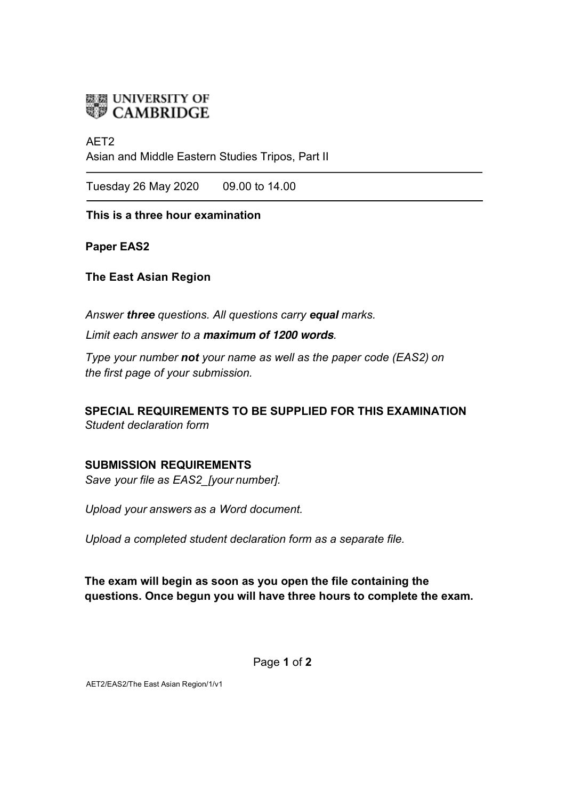

## AET2

Asian and Middle Eastern Studies Tripos, Part II

Tuesday 26 May 2020 09.00 to 14.00

**This is a three hour examination**

**Paper EAS2** 

**The East Asian Region**

*Answer three questions. All questions carry equal marks.*

*Limit each answer to a maximum of 1200 words.* 

*Type your number not your name as well as the paper code (EAS2) on the first page of your submission.* 

**SPECIAL REQUIREMENTS TO BE SUPPLIED FOR THIS EXAMINATION** *Student declaration form*

## **SUBMISSION REQUIREMENTS**

*Save your file as EAS2\_[your number].* 

*Upload your answers as a Word document.*

*Upload a completed student declaration form as a separate file.*

**The exam will begin as soon as you open the file containing the questions. Once begun you will have three hours to complete the exam.**

Page **1** of **2** 

AET2/EAS2/The East Asian Region/1/v1